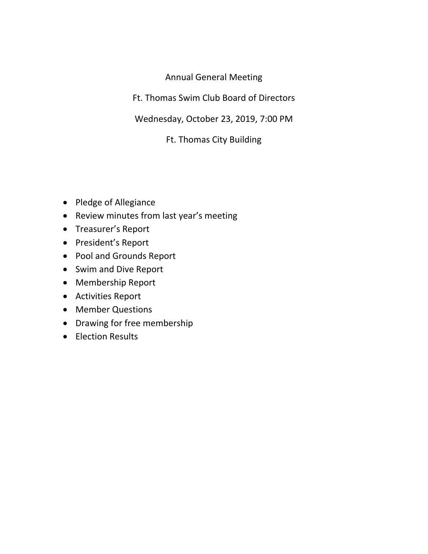# Annual General Meeting

Ft. Thomas Swim Club Board of Directors

Wednesday, October 23, 2019, 7:00 PM

Ft. Thomas City Building

- Pledge of Allegiance
- Review minutes from last year's meeting
- Treasurer's Report
- President's Report
- Pool and Grounds Report
- Swim and Dive Report
- Membership Report
- Activities Report
- Member Questions
- Drawing for free membership
- Election Results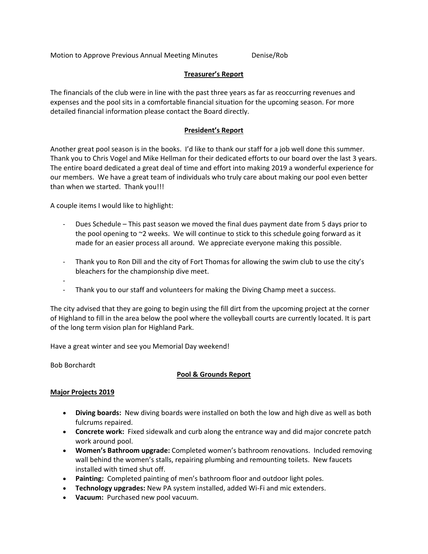Motion to Approve Previous Annual Meeting Minutes **Denise**/Rob

## **Treasurer's Report**

The financials of the club were in line with the past three years as far as reoccurring revenues and expenses and the pool sits in a comfortable financial situation for the upcoming season. For more detailed financial information please contact the Board directly.

## **President's Report**

Another great pool season is in the books. I'd like to thank our staff for a job well done this summer. Thank you to Chris Vogel and Mike Hellman for their dedicated efforts to our board over the last 3 years. The entire board dedicated a great deal of time and effort into making 2019 a wonderful experience for our members. We have a great team of individuals who truly care about making our pool even better than when we started. Thank you!!!

A couple items I would like to highlight:

- ‐ Dues Schedule This past season we moved the final dues payment date from 5 days prior to the pool opening to ~2 weeks. We will continue to stick to this schedule going forward as it made for an easier process all around. We appreciate everyone making this possible.
- ‐ Thank you to Ron Dill and the city of Fort Thomas for allowing the swim club to use the city's bleachers for the championship dive meet.
- ‐
- Thank you to our staff and volunteers for making the Diving Champ meet a success.

The city advised that they are going to begin using the fill dirt from the upcoming project at the corner of Highland to fill in the area below the pool where the volleyball courts are currently located. It is part of the long term vision plan for Highland Park.

Have a great winter and see you Memorial Day weekend!

Bob Borchardt

### **Pool & Grounds Report**

### **Major Projects 2019**

- **Diving boards:** New diving boards were installed on both the low and high dive as well as both fulcrums repaired.
- **Concrete work:** Fixed sidewalk and curb along the entrance way and did major concrete patch work around pool.
- **Women's Bathroom upgrade:** Completed women's bathroom renovations. Included removing wall behind the women's stalls, repairing plumbing and remounting toilets. New faucets installed with timed shut off.
- **Painting:** Completed painting of men's bathroom floor and outdoor light poles.
- **Technology upgrades:** New PA system installed, added Wi‐Fi and mic extenders.
- **Vacuum:** Purchased new pool vacuum.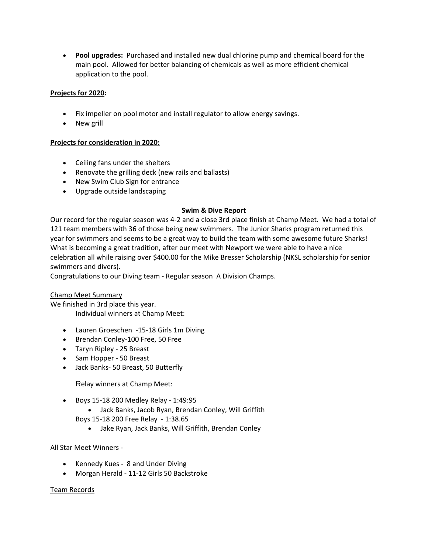**Pool upgrades:** Purchased and installed new dual chlorine pump and chemical board for the main pool. Allowed for better balancing of chemicals as well as more efficient chemical application to the pool.

## **Projects for 2020:**

- Fix impeller on pool motor and install regulator to allow energy savings.
- New grill

## **Projects for consideration in 2020:**

- Ceiling fans under the shelters
- Renovate the grilling deck (new rails and ballasts)
- New Swim Club Sign for entrance
- Upgrade outside landscaping

### **Swim & Dive Report**

Our record for the regular season was 4‐2 and a close 3rd place finish at Champ Meet. We had a total of 121 team members with 36 of those being new swimmers. The Junior Sharks program returned this year for swimmers and seems to be a great way to build the team with some awesome future Sharks! What is becoming a great tradition, after our meet with Newport we were able to have a nice celebration all while raising over \$400.00 for the Mike Bresser Scholarship (NKSL scholarship for senior swimmers and divers).

Congratulations to our Diving team ‐ Regular season A Division Champs.

### Champ Meet Summary

We finished in 3rd place this year. Individual winners at Champ Meet:

- Lauren Groeschen -15-18 Girls 1m Diving
- Brendan Conley-100 Free, 50 Free
- Taryn Ripley ‐ 25 Breast
- Sam Hopper 50 Breast
- Jack Banks‐ 50 Breast, 50 Butterfly

Relay winners at Champ Meet:

- Boys 15‐18 200 Medley Relay ‐ 1:49:95
	- Jack Banks, Jacob Ryan, Brendan Conley, Will Griffith

Boys 15‐18 200 Free Relay ‐ 1:38.65

Jake Ryan, Jack Banks, Will Griffith, Brendan Conley

All Star Meet Winners ‐

- Kennedy Kues ‐ 8 and Under Diving
- Morgan Herald ‐ 11‐12 Girls 50 Backstroke

### Team Records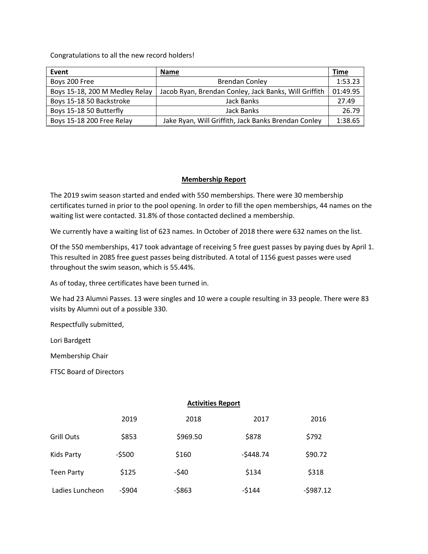Congratulations to all the new record holders!

| Event                          | <b>Name</b>                                           | Time     |
|--------------------------------|-------------------------------------------------------|----------|
| Boys 200 Free                  | <b>Brendan Conley</b>                                 | 1:53.23  |
| Boys 15-18, 200 M Medley Relay | Jacob Ryan, Brendan Conley, Jack Banks, Will Griffith | 01:49.95 |
| Boys 15-18 50 Backstroke       | Jack Banks                                            | 27.49    |
| Boys 15-18 50 Butterfly        | Jack Banks                                            | 26.79    |
| Boys 15-18 200 Free Relay      | Jake Ryan, Will Griffith, Jack Banks Brendan Conley   | 1:38.65  |

### **Membership Report**

The 2019 swim season started and ended with 550 memberships. There were 30 membership certificates turned in prior to the pool opening. In order to fill the open memberships, 44 names on the waiting list were contacted. 31.8% of those contacted declined a membership.

We currently have a waiting list of 623 names. In October of 2018 there were 632 names on the list.

Of the 550 memberships, 417 took advantage of receiving 5 free guest passes by paying dues by April 1. This resulted in 2085 free guest passes being distributed. A total of 1156 guest passes were used throughout the swim season, which is 55.44%.

As of today, three certificates have been turned in.

We had 23 Alumni Passes. 13 were singles and 10 were a couple resulting in 33 people. There were 83 visits by Alumni out of a possible 330.

Respectfully submitted,

Lori Bardgett

Membership Chair

FTSC Board of Directors

#### **Activities Report**

|                   | 2019    | 2018     | 2017       | 2016       |
|-------------------|---------|----------|------------|------------|
| <b>Grill Outs</b> | \$853   | \$969.50 | \$878      | \$792      |
| Kids Party        | $-5500$ | \$160    | $-5448.74$ | \$90.72    |
| <b>Teen Party</b> | \$125   | $-540$   | \$134      | \$318      |
| Ladies Luncheon   | $-5904$ | $-5863$  | $-5144$    | $-5987.12$ |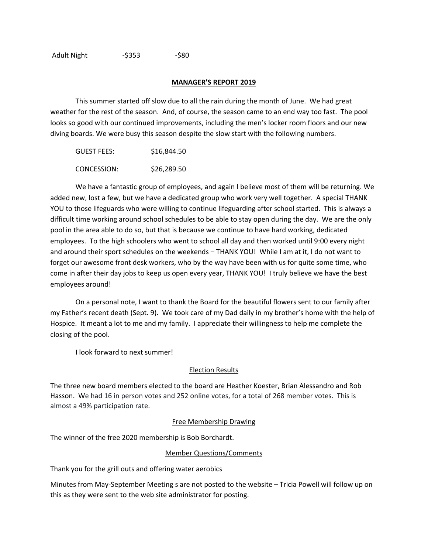#### **MANAGER'S REPORT 2019**

This summer started off slow due to all the rain during the month of June. We had great weather for the rest of the season. And, of course, the season came to an end way too fast. The pool looks so good with our continued improvements, including the men's locker room floors and our new diving boards. We were busy this season despite the slow start with the following numbers.

| GUEST FEES: | \$16,844.50 |
|-------------|-------------|
| CONCESSION: | \$26,289.50 |

We have a fantastic group of employees, and again I believe most of them will be returning. We added new, lost a few, but we have a dedicated group who work very well together. A special THANK YOU to those lifeguards who were willing to continue lifeguarding after school started. This is always a difficult time working around school schedules to be able to stay open during the day. We are the only pool in the area able to do so, but that is because we continue to have hard working, dedicated employees. To the high schoolers who went to school all day and then worked until 9:00 every night and around their sport schedules on the weekends – THANK YOU! While I am at it, I do not want to forget our awesome front desk workers, who by the way have been with us for quite some time, who come in after their day jobs to keep us open every year, THANK YOU! I truly believe we have the best employees around!

On a personal note, I want to thank the Board for the beautiful flowers sent to our family after my Father's recent death (Sept. 9). We took care of my Dad daily in my brother's home with the help of Hospice. It meant a lot to me and my family. I appreciate their willingness to help me complete the closing of the pool.

I look forward to next summer!

### Election Results

The three new board members elected to the board are Heather Koester, Brian Alessandro and Rob Hasson. We had 16 in person votes and 252 online votes, for a total of 268 member votes. This is almost a 49% participation rate.

### Free Membership Drawing

The winner of the free 2020 membership is Bob Borchardt.

### Member Questions/Comments

Thank you for the grill outs and offering water aerobics

Minutes from May‐September Meeting s are not posted to the website – Tricia Powell will follow up on this as they were sent to the web site administrator for posting.